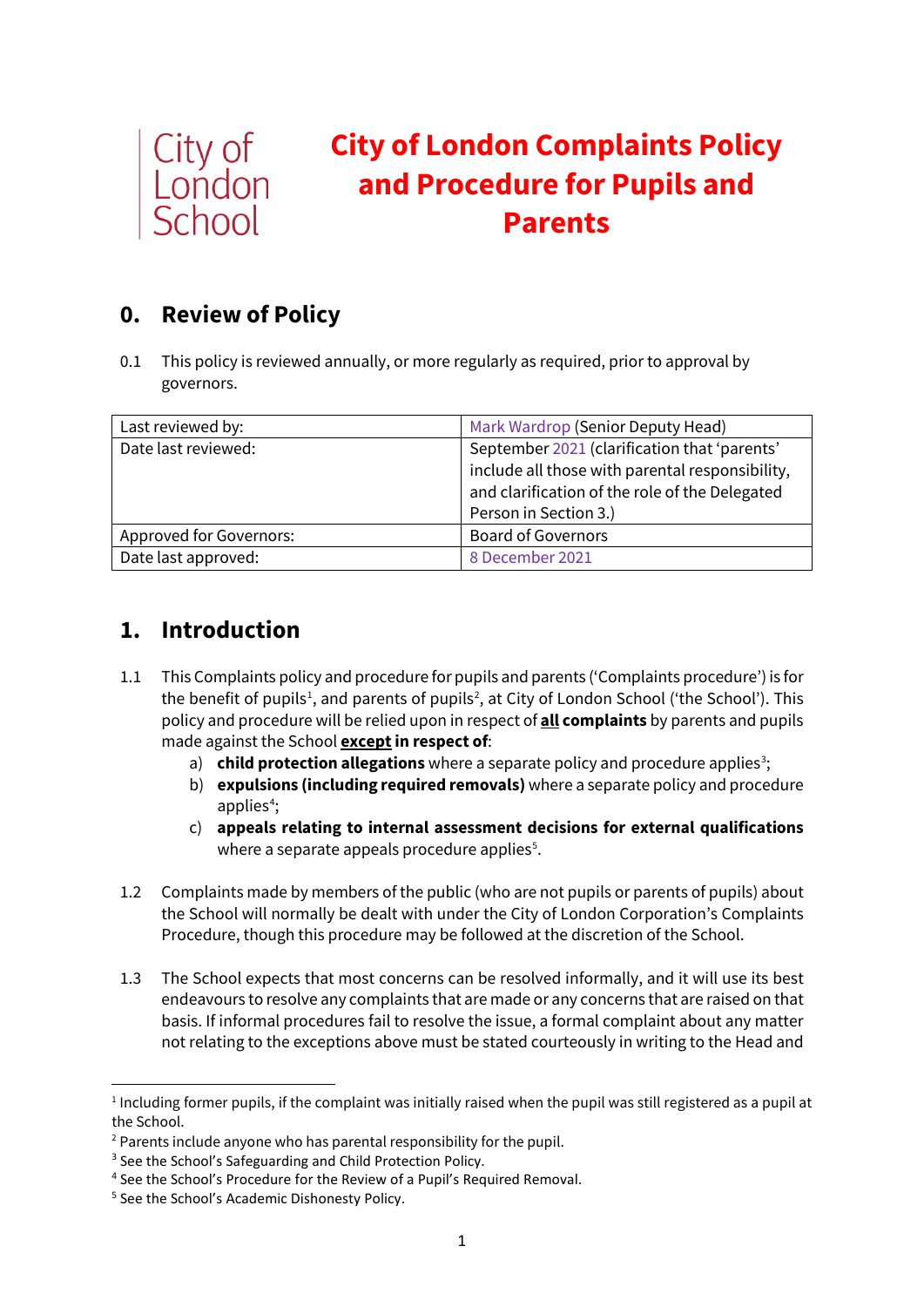

# **City of London Complaints Policy and Procedure for Pupils and Parents**

# **0. Review of Policy**

0.1 This policy is reviewed annually, or more regularly as required, prior to approval by governors.

| Last reviewed by:       | Mark Wardrop (Senior Deputy Head)                                                                                                                 |  |
|-------------------------|---------------------------------------------------------------------------------------------------------------------------------------------------|--|
| Date last reviewed:     | September 2021 (clarification that 'parents'<br>include all those with parental responsibility,<br>and clarification of the role of the Delegated |  |
|                         | Person in Section 3.)                                                                                                                             |  |
| Approved for Governors: | <b>Board of Governors</b>                                                                                                                         |  |
| Date last approved:     | 8 December 2021                                                                                                                                   |  |

# **1. Introduction**

- 1.1 This Complaints policy and procedure for pupils and parents ('Complaints procedure') is for the benefit of pupils<sup>[1](#page-0-0)</sup>, and parents of pupils<sup>[2](#page-0-1)</sup>, at City of London School ('the School'). This policy and procedure will be relied upon in respect of **all complaints** by parents and pupils made against the School **except in respect of**:
	- a) **child protection allegations** where a separate policy and procedure applies<sup>[3](#page-0-2)</sup>;
	- b) **expulsions (including required removals)** where a separate policy and procedure applies<sup>[4](#page-0-3)</sup>;
	- c) **appeals relating to internal assessment decisions for external qualifications** where a separate appeals procedure applies $^5$  $^5$ .
- 1.2 Complaints made by members of the public (who are not pupils or parents of pupils) about the School will normally be dealt with under the City of London Corporation's Complaints Procedure, though this procedure may be followed at the discretion of the School.
- 1.3 The School expects that most concerns can be resolved informally, and it will use its best endeavours to resolve any complaints that are made or any concerns that are raised on that basis. If informal procedures fail to resolve the issue, a formal complaint about any matter not relating to the exceptions above must be stated courteously in writing to the Head and

<span id="page-0-0"></span><sup>1</sup> Including former pupils, if the complaint was initially raised when the pupil was still registered as a pupil at the School.

<span id="page-0-1"></span><sup>&</sup>lt;sup>2</sup> Parents include anyone who has parental responsibility for the pupil.

<span id="page-0-2"></span><sup>&</sup>lt;sup>3</sup> See the School's Safeguarding and Child Protection Policy.

<span id="page-0-3"></span><sup>4</sup> See the School's Procedure for the Review of a Pupil's Required Removal.

<span id="page-0-4"></span><sup>&</sup>lt;sup>5</sup> See the School's Academic Dishonesty Policy.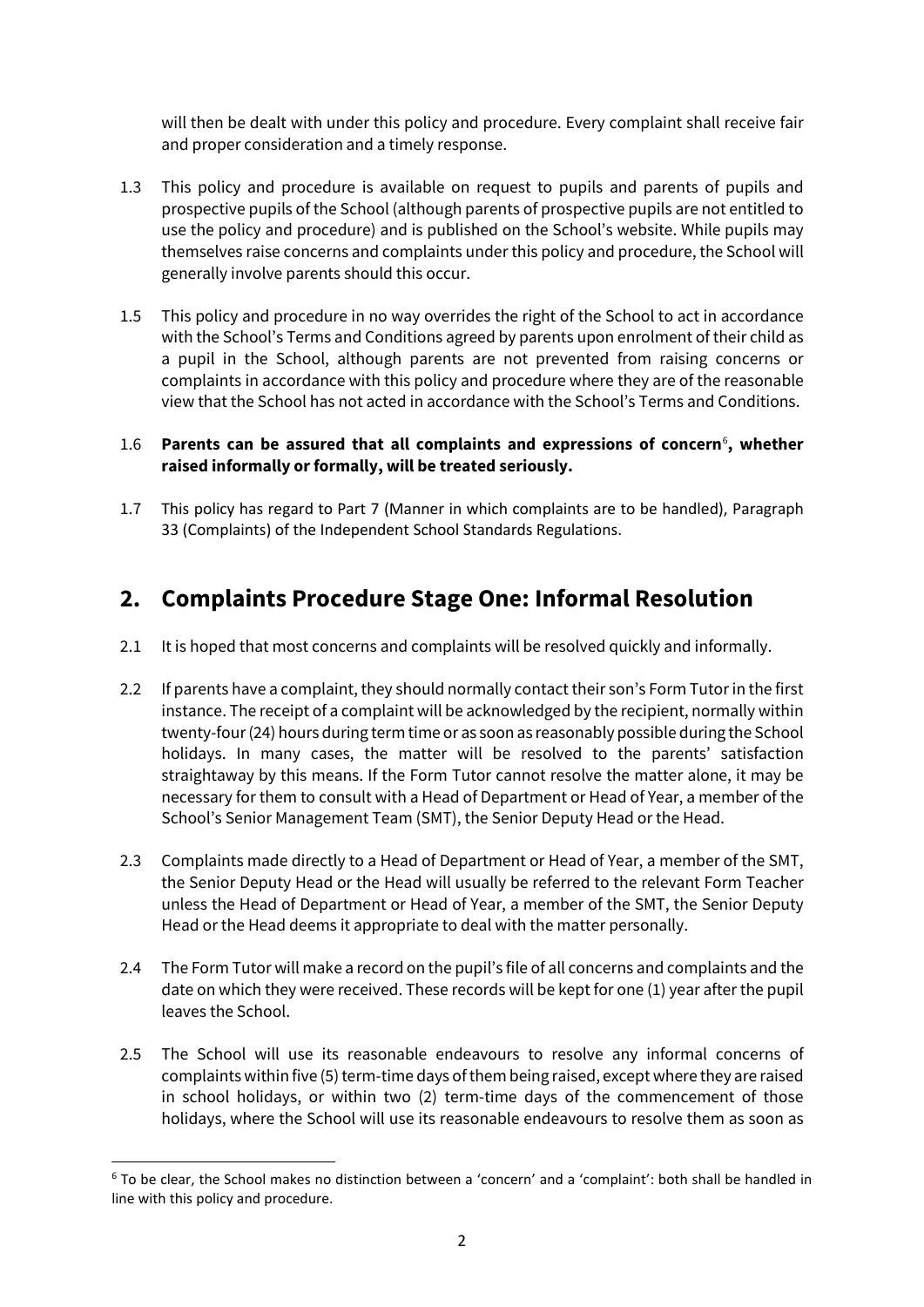will then be dealt with under this policy and procedure. Every complaint shall receive fair and proper consideration and a timely response.

- 1.3 This policy and procedure is available on request to pupils and parents of pupils and prospective pupils of the School (although parents of prospective pupils are not entitled to use the policy and procedure) and is published on the School's website. While pupils may themselves raise concerns and complaints under this policy and procedure, the School will generally involve parents should this occur.
- 1.5 This policy and procedure in no way overrides the right of the School to act in accordance with the School's Terms and Conditions agreed by parents upon enrolment of their child as a pupil in the School, although parents are not prevented from raising concerns or complaints in accordance with this policy and procedure where they are of the reasonable view that the School has not acted in accordance with the School's Terms and Conditions.

#### 1.[6](#page-1-0) Parents can be assured that all complaints and expressions of concern<sup>6</sup>, whether **raised informally or formally, will be treated seriously.**

1.7 This policy has regard to Part 7 (Manner in which complaints are to be handled), Paragraph 33 (Complaints) of the Independent School Standards Regulations.

### **2. Complaints Procedure Stage One: Informal Resolution**

- 2.1 It is hoped that most concerns and complaints will be resolved quickly and informally.
- 2.2 If parents have a complaint, they should normally contact their son's Form Tutor in the first instance. The receipt of a complaint will be acknowledged by the recipient, normally within twenty-four (24) hours during term time or as soon as reasonably possible during the School holidays. In many cases, the matter will be resolved to the parents' satisfaction straightaway by this means. If the Form Tutor cannot resolve the matter alone, it may be necessary for them to consult with a Head of Department or Head of Year, a member of the School's Senior Management Team (SMT), the Senior Deputy Head or the Head.
- 2.3 Complaints made directly to a Head of Department or Head of Year, a member of the SMT, the Senior Deputy Head or the Head will usually be referred to the relevant Form Teacher unless the Head of Department or Head of Year, a member of the SMT, the Senior Deputy Head or the Head deems it appropriate to deal with the matter personally.
- 2.4 The Form Tutor will make a record on the pupil's file of all concerns and complaints and the date on which they were received. These records will be kept for one (1) year after the pupil leaves the School.
- 2.5 The School will use its reasonable endeavours to resolve any informal concerns of complaints within five (5) term-time days of them being raised, except where they are raised in school holidays, or within two (2) term-time days of the commencement of those holidays, where the School will use its reasonable endeavours to resolve them as soon as

<span id="page-1-0"></span><sup>6</sup> To be clear, the School makes no distinction between a 'concern' and a 'complaint': both shall be handled in line with this policy and procedure.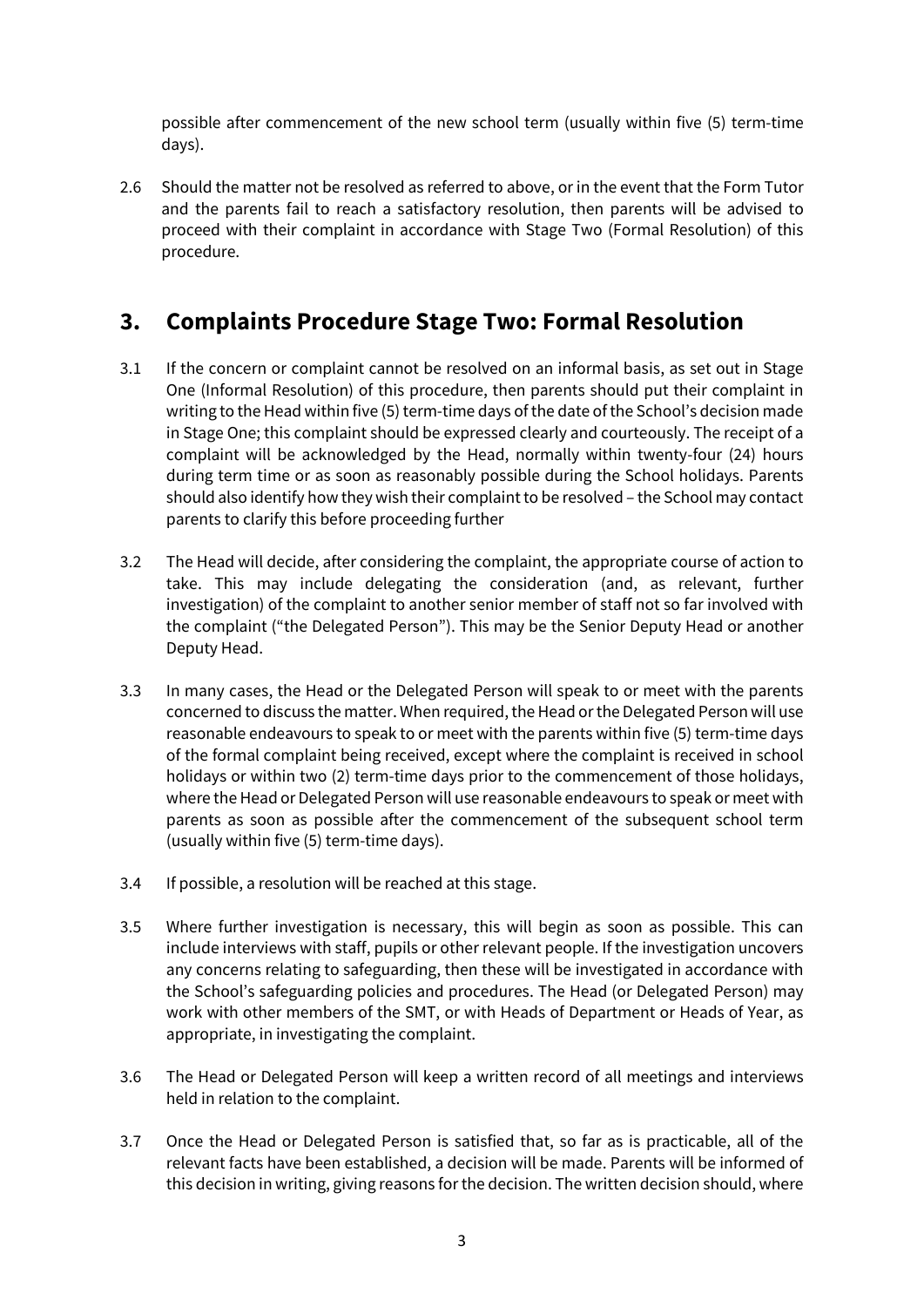possible after commencement of the new school term (usually within five (5) term-time days).

2.6 Should the matter not be resolved as referred to above, or in the event that the Form Tutor and the parents fail to reach a satisfactory resolution, then parents will be advised to proceed with their complaint in accordance with Stage Two (Formal Resolution) of this procedure.

### **3. Complaints Procedure Stage Two: Formal Resolution**

- 3.1 If the concern or complaint cannot be resolved on an informal basis, as set out in Stage One (Informal Resolution) of this procedure, then parents should put their complaint in writing to the Head within five (5) term-time days of the date of the School's decision made in Stage One; this complaint should be expressed clearly and courteously. The receipt of a complaint will be acknowledged by the Head, normally within twenty-four (24) hours during term time or as soon as reasonably possible during the School holidays. Parents should also identify how they wish their complaint to be resolved – the School may contact parents to clarify this before proceeding further
- 3.2 The Head will decide, after considering the complaint, the appropriate course of action to take. This may include delegating the consideration (and, as relevant, further investigation) of the complaint to another senior member of staff not so far involved with the complaint ("the Delegated Person"). This may be the Senior Deputy Head or another Deputy Head.
- 3.3 In many cases, the Head or the Delegated Person will speak to or meet with the parents concerned to discuss the matter. When required, the Head or the Delegated Person will use reasonable endeavours to speak to or meet with the parents within five (5) term-time days of the formal complaint being received, except where the complaint is received in school holidays or within two (2) term-time days prior to the commencement of those holidays, where the Head or Delegated Person will use reasonable endeavours to speak or meet with parents as soon as possible after the commencement of the subsequent school term (usually within five (5) term-time days).
- 3.4 If possible, a resolution will be reached at this stage.
- 3.5 Where further investigation is necessary, this will begin as soon as possible. This can include interviews with staff, pupils or other relevant people. If the investigation uncovers any concerns relating to safeguarding, then these will be investigated in accordance with the School's safeguarding policies and procedures. The Head (or Delegated Person) may work with other members of the SMT, or with Heads of Department or Heads of Year, as appropriate, in investigating the complaint.
- 3.6 The Head or Delegated Person will keep a written record of all meetings and interviews held in relation to the complaint.
- 3.7 Once the Head or Delegated Person is satisfied that, so far as is practicable, all of the relevant facts have been established, a decision will be made. Parents will be informed of this decision in writing, giving reasons for the decision. The written decision should, where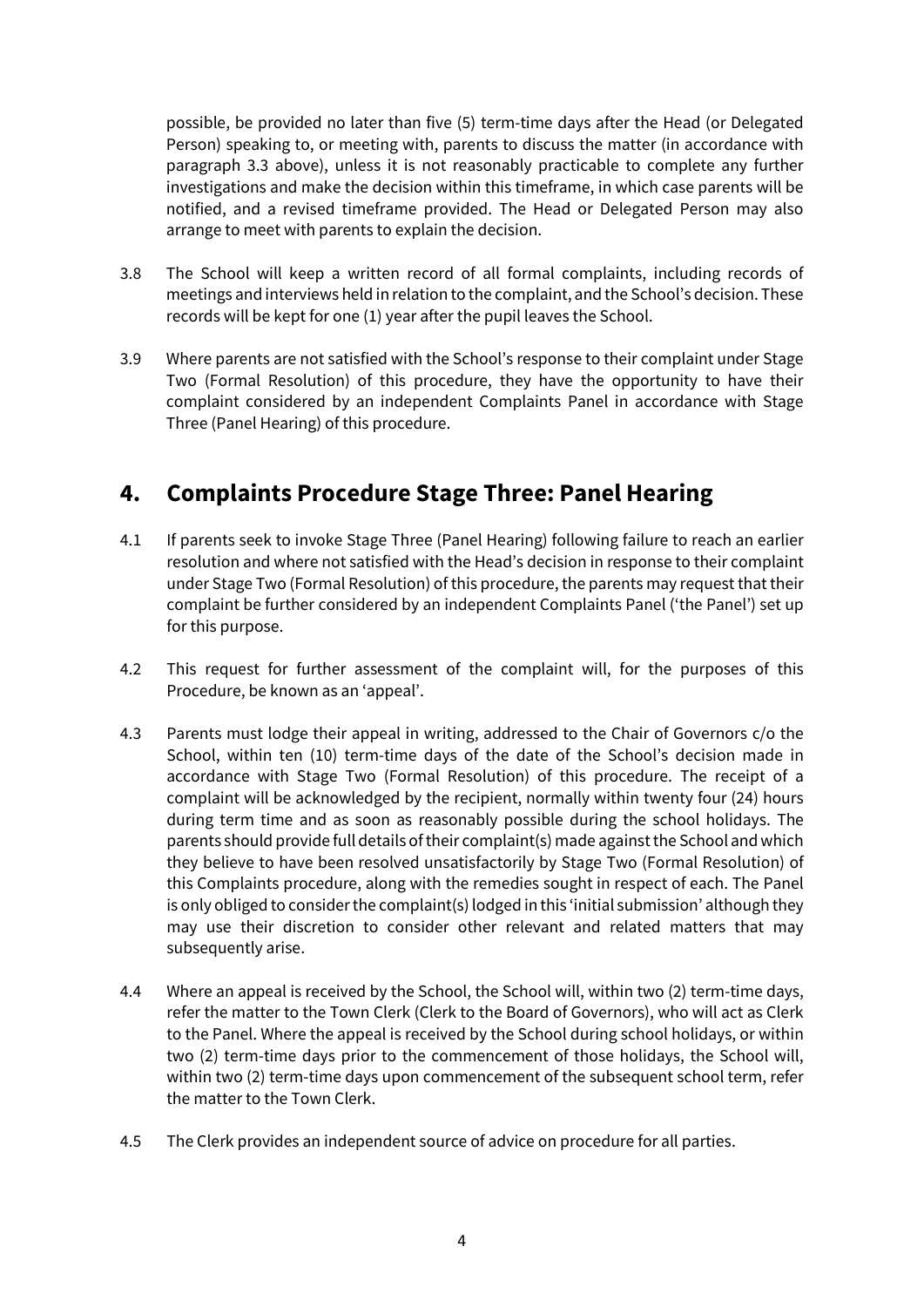possible, be provided no later than five (5) term-time days after the Head (or Delegated Person) speaking to, or meeting with, parents to discuss the matter (in accordance with paragraph 3.3 above), unless it is not reasonably practicable to complete any further investigations and make the decision within this timeframe, in which case parents will be notified, and a revised timeframe provided. The Head or Delegated Person may also arrange to meet with parents to explain the decision.

- 3.8 The School will keep a written record of all formal complaints, including records of meetings and interviews held in relation to the complaint, and the School's decision. These records will be kept for one (1) year after the pupil leaves the School.
- 3.9 Where parents are not satisfied with the School's response to their complaint under Stage Two (Formal Resolution) of this procedure, they have the opportunity to have their complaint considered by an independent Complaints Panel in accordance with Stage Three (Panel Hearing) of this procedure.

### **4. Complaints Procedure Stage Three: Panel Hearing**

- 4.1 If parents seek to invoke Stage Three (Panel Hearing) following failure to reach an earlier resolution and where not satisfied with the Head's decision in response to their complaint under Stage Two (Formal Resolution) of this procedure, the parents may request that their complaint be further considered by an independent Complaints Panel ('the Panel') set up for this purpose.
- 4.2 This request for further assessment of the complaint will, for the purposes of this Procedure, be known as an 'appeal'.
- 4.3 Parents must lodge their appeal in writing, addressed to the Chair of Governors c/o the School, within ten (10) term-time days of the date of the School's decision made in accordance with Stage Two (Formal Resolution) of this procedure. The receipt of a complaint will be acknowledged by the recipient, normally within twenty four (24) hours during term time and as soon as reasonably possible during the school holidays. The parents should provide full details of their complaint(s) made against the School and which they believe to have been resolved unsatisfactorily by Stage Two (Formal Resolution) of this Complaints procedure, along with the remedies sought in respect of each. The Panel is only obliged to consider the complaint(s) lodged in this 'initial submission' although they may use their discretion to consider other relevant and related matters that may subsequently arise.
- 4.4 Where an appeal is received by the School, the School will, within two (2) term-time days, refer the matter to the Town Clerk (Clerk to the Board of Governors), who will act as Clerk to the Panel. Where the appeal is received by the School during school holidays, or within two (2) term-time days prior to the commencement of those holidays, the School will, within two (2) term-time days upon commencement of the subsequent school term, refer the matter to the Town Clerk.
- 4.5 The Clerk provides an independent source of advice on procedure for all parties.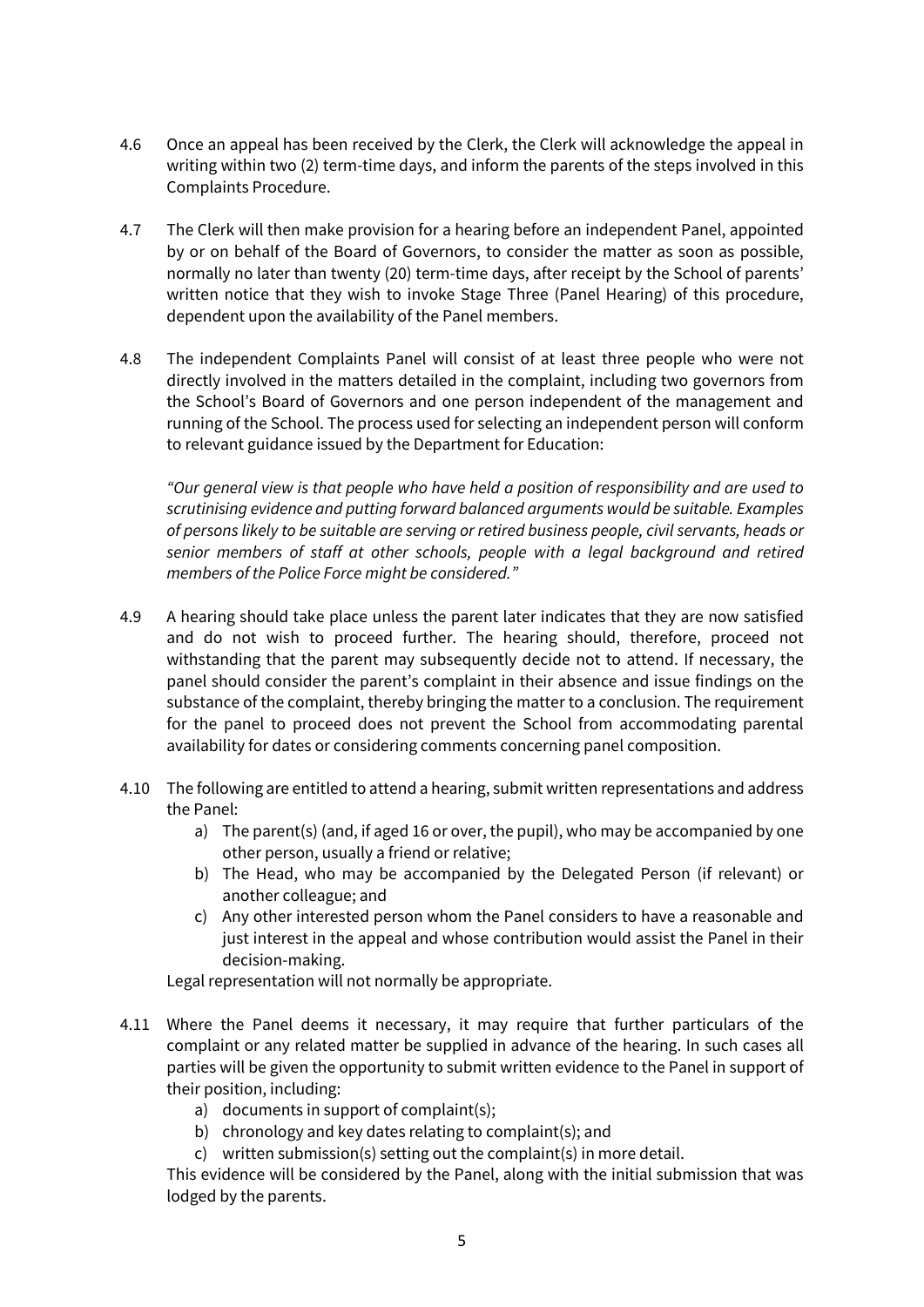- 4.6 Once an appeal has been received by the Clerk, the Clerk will acknowledge the appeal in writing within two (2) term-time days, and inform the parents of the steps involved in this Complaints Procedure.
- 4.7 The Clerk will then make provision for a hearing before an independent Panel, appointed by or on behalf of the Board of Governors, to consider the matter as soon as possible, normally no later than twenty (20) term-time days, after receipt by the School of parents' written notice that they wish to invoke Stage Three (Panel Hearing) of this procedure, dependent upon the availability of the Panel members.
- 4.8 The independent Complaints Panel will consist of at least three people who were not directly involved in the matters detailed in the complaint, including two governors from the School's Board of Governors and one person independent of the management and running of the School. The process used for selecting an independent person will conform to relevant guidance issued by the Department for Education:

*"Our general view is that people who have held a position of responsibility and are used to scrutinising evidence and putting forward balanced arguments would be suitable. Examples of persons likely to be suitable are serving or retired business people, civil servants, heads or senior members of staff at other schools, people with a legal background and retired members of the Police Force might be considered."*

- 4.9 A hearing should take place unless the parent later indicates that they are now satisfied and do not wish to proceed further. The hearing should, therefore, proceed not withstanding that the parent may subsequently decide not to attend. If necessary, the panel should consider the parent's complaint in their absence and issue findings on the substance of the complaint, thereby bringing the matter to a conclusion. The requirement for the panel to proceed does not prevent the School from accommodating parental availability for dates or considering comments concerning panel composition.
- 4.10 The following are entitled to attend a hearing, submit written representations and address the Panel:
	- a) The parent(s) (and, if aged 16 or over, the pupil), who may be accompanied by one other person, usually a friend or relative;
	- b) The Head, who may be accompanied by the Delegated Person (if relevant) or another colleague; and
	- c) Any other interested person whom the Panel considers to have a reasonable and just interest in the appeal and whose contribution would assist the Panel in their decision-making.

Legal representation will not normally be appropriate.

- 4.11 Where the Panel deems it necessary, it may require that further particulars of the complaint or any related matter be supplied in advance of the hearing. In such cases all parties will be given the opportunity to submit written evidence to the Panel in support of their position, including:
	- a) documents in support of complaint(s);
	- b) chronology and key dates relating to complaint(s); and
	- c) written submission(s) setting out the complaint(s) in more detail.

This evidence will be considered by the Panel, along with the initial submission that was lodged by the parents.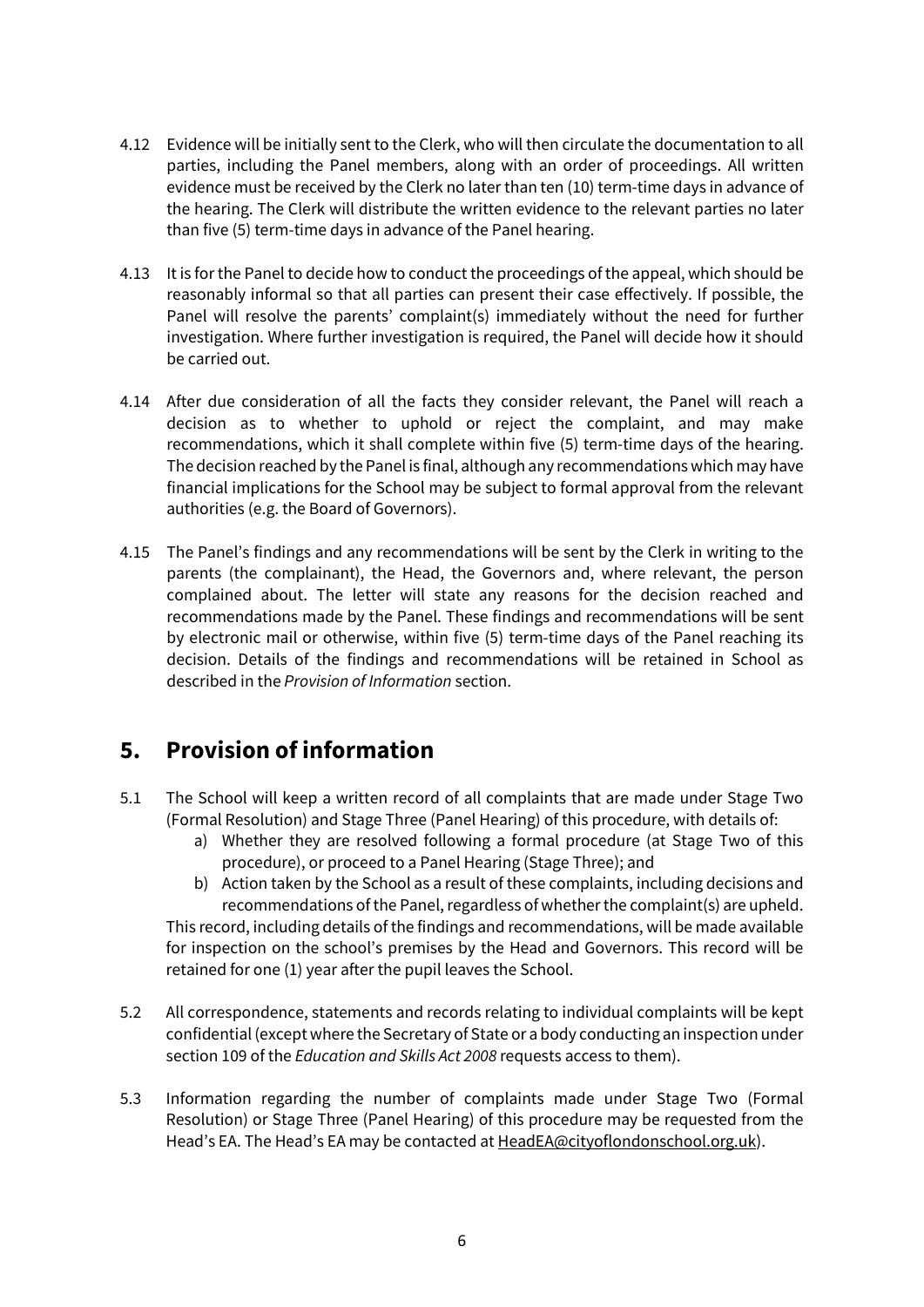- 4.12 Evidence will be initially sent to the Clerk, who will then circulate the documentation to all parties, including the Panel members, along with an order of proceedings. All written evidence must be received by the Clerk no later than ten (10) term-time days in advance of the hearing. The Clerk will distribute the written evidence to the relevant parties no later than five (5) term-time days in advance of the Panel hearing.
- 4.13 It is for the Panel to decide how to conduct the proceedings of the appeal, which should be reasonably informal so that all parties can present their case effectively. If possible, the Panel will resolve the parents' complaint(s) immediately without the need for further investigation. Where further investigation is required, the Panel will decide how it should be carried out.
- 4.14 After due consideration of all the facts they consider relevant, the Panel will reach a decision as to whether to uphold or reject the complaint, and may make recommendations, which it shall complete within five (5) term-time days of the hearing. The decision reached by the Panel is final, although any recommendations which may have financial implications for the School may be subject to formal approval from the relevant authorities (e.g. the Board of Governors).
- 4.15 The Panel's findings and any recommendations will be sent by the Clerk in writing to the parents (the complainant), the Head, the Governors and, where relevant, the person complained about. The letter will state any reasons for the decision reached and recommendations made by the Panel. These findings and recommendations will be sent by electronic mail or otherwise, within five (5) term-time days of the Panel reaching its decision. Details of the findings and recommendations will be retained in School as described in the *Provision of Information* section.

# **5. Provision of information**

- 5.1 The School will keep a written record of all complaints that are made under Stage Two (Formal Resolution) and Stage Three (Panel Hearing) of this procedure, with details of:
	- a) Whether they are resolved following a formal procedure (at Stage Two of this procedure), or proceed to a Panel Hearing (Stage Three); and
	- b) Action taken by the School as a result of these complaints, including decisions and recommendations of the Panel, regardless of whether the complaint(s) are upheld. This record, including details of the findings and recommendations, will be made available for inspection on the school's premises by the Head and Governors. This record will be retained for one (1) year after the pupil leaves the School.
- 5.2 All correspondence, statements and records relating to individual complaints will be kept confidential (except where the Secretary of State or a body conducting an inspection under section 109 of the *Education and Skills Act 2008* requests access to them).
- 5.3 Information regarding the number of complaints made under Stage Two (Formal Resolution) or Stage Three (Panel Hearing) of this procedure may be requested from the Head's EA. The Head's EA may be contacted at [HeadEA@cityoflondonschool.org.uk\)](mailto:HeadEA@cityoflondonschool.org.uk).